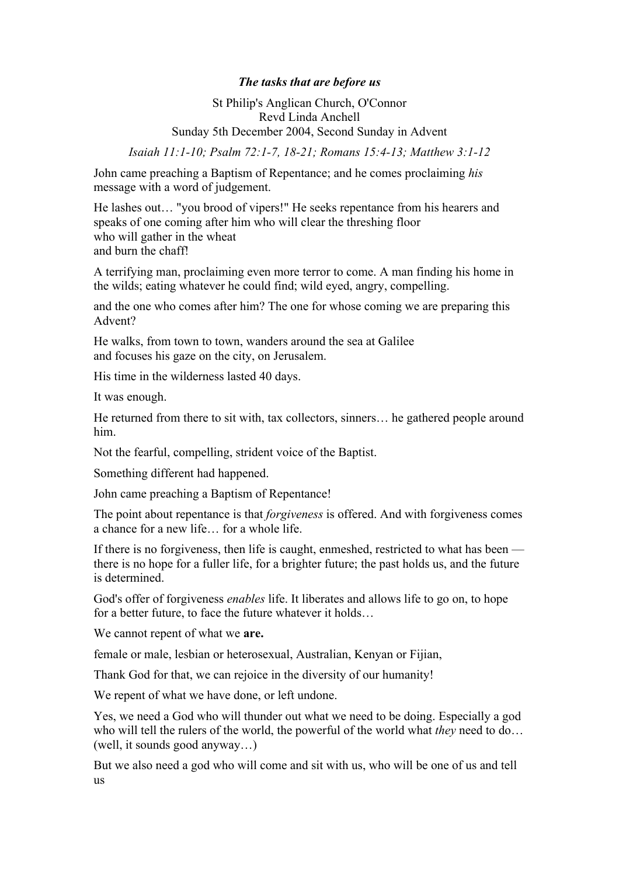## *The tasks that are before us*

St Philip's Anglican Church, O'Connor Revd Linda Anchell Sunday 5th December 2004, Second Sunday in Advent

*Isaiah 11:1-10; Psalm 72:1-7, 18-21; Romans 15:4-13; Matthew 3:1-12*

John came preaching a Baptism of Repentance; and he comes proclaiming *his* message with a word of judgement.

He lashes out… "you brood of vipers!" He seeks repentance from his hearers and speaks of one coming after him who will clear the threshing floor who will gather in the wheat and burn the chaff!

A terrifying man, proclaiming even more terror to come. A man finding his home in the wilds; eating whatever he could find; wild eyed, angry, compelling.

and the one who comes after him? The one for whose coming we are preparing this Advent?

He walks, from town to town, wanders around the sea at Galilee and focuses his gaze on the city, on Jerusalem.

His time in the wilderness lasted 40 days.

It was enough.

He returned from there to sit with, tax collectors, sinners… he gathered people around him.

Not the fearful, compelling, strident voice of the Baptist.

Something different had happened.

John came preaching a Baptism of Repentance!

The point about repentance is that *forgiveness* is offered. And with forgiveness comes a chance for a new life… for a whole life.

If there is no forgiveness, then life is caught, enmeshed, restricted to what has been there is no hope for a fuller life, for a brighter future; the past holds us, and the future is determined.

God's offer of forgiveness *enables* life. It liberates and allows life to go on, to hope for a better future, to face the future whatever it holds…

We cannot repent of what we **are.**

female or male, lesbian or heterosexual, Australian, Kenyan or Fijian,

Thank God for that, we can rejoice in the diversity of our humanity!

We repent of what we have done, or left undone.

Yes, we need a God who will thunder out what we need to be doing. Especially a god who will tell the rulers of the world, the powerful of the world what *they* need to do… (well, it sounds good anyway…)

But we also need a god who will come and sit with us, who will be one of us and tell us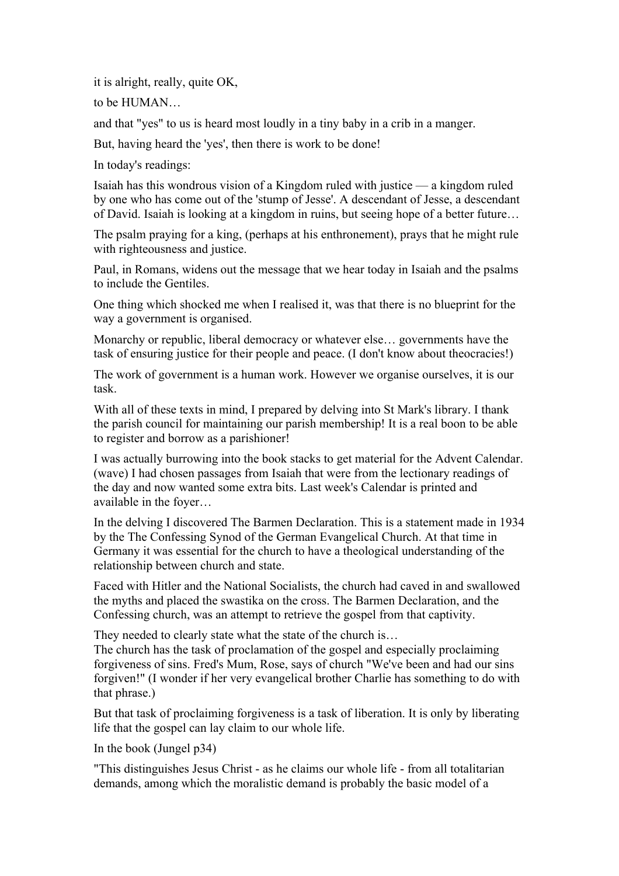it is alright, really, quite OK,

to be HUMAN…

and that "yes" to us is heard most loudly in a tiny baby in a crib in a manger.

But, having heard the 'yes', then there is work to be done!

In today's readings:

Isaiah has this wondrous vision of a Kingdom ruled with justice — a kingdom ruled by one who has come out of the 'stump of Jesse'. A descendant of Jesse, a descendant of David. Isaiah is looking at a kingdom in ruins, but seeing hope of a better future…

The psalm praying for a king, (perhaps at his enthronement), prays that he might rule with righteousness and justice.

Paul, in Romans, widens out the message that we hear today in Isaiah and the psalms to include the Gentiles.

One thing which shocked me when I realised it, was that there is no blueprint for the way a government is organised.

Monarchy or republic, liberal democracy or whatever else… governments have the task of ensuring justice for their people and peace. (I don't know about theocracies!)

The work of government is a human work. However we organise ourselves, it is our task.

With all of these texts in mind, I prepared by delving into St Mark's library. I thank the parish council for maintaining our parish membership! It is a real boon to be able to register and borrow as a parishioner!

I was actually burrowing into the book stacks to get material for the Advent Calendar. (wave) I had chosen passages from Isaiah that were from the lectionary readings of the day and now wanted some extra bits. Last week's Calendar is printed and available in the foyer…

In the delving I discovered The Barmen Declaration. This is a statement made in 1934 by the The Confessing Synod of the German Evangelical Church. At that time in Germany it was essential for the church to have a theological understanding of the relationship between church and state.

Faced with Hitler and the National Socialists, the church had caved in and swallowed the myths and placed the swastika on the cross. The Barmen Declaration, and the Confessing church, was an attempt to retrieve the gospel from that captivity.

They needed to clearly state what the state of the church is... The church has the task of proclamation of the gospel and especially proclaiming forgiveness of sins. Fred's Mum, Rose, says of church "We've been and had our sins forgiven!" (I wonder if her very evangelical brother Charlie has something to do with that phrase.)

But that task of proclaiming forgiveness is a task of liberation. It is only by liberating life that the gospel can lay claim to our whole life.

In the book (Jungel p34)

"This distinguishes Jesus Christ - as he claims our whole life - from all totalitarian demands, among which the moralistic demand is probably the basic model of a